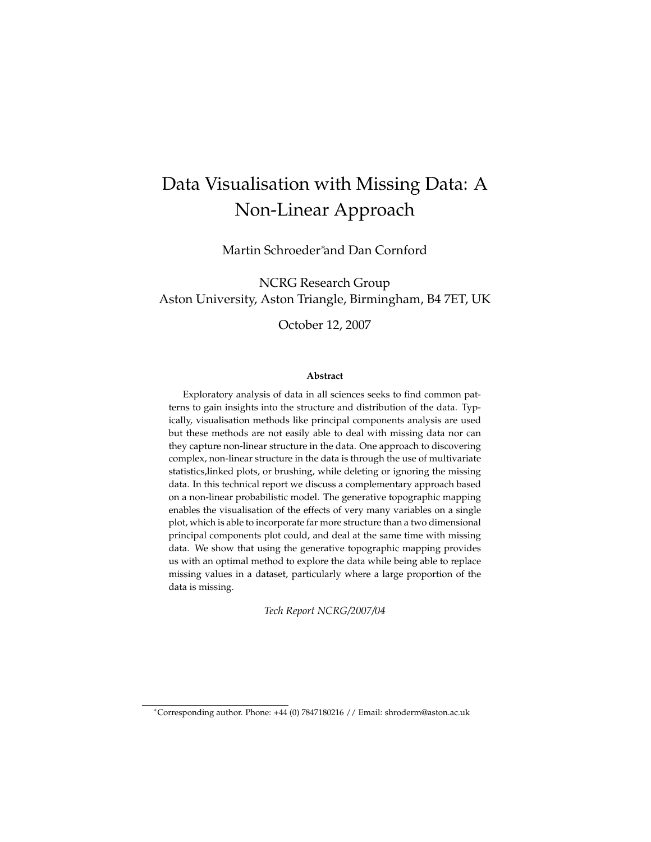# Data Visualisation with Missing Data: A Non-Linear Approach

Martin Schroeder∗and Dan Cornford

NCRG Research Group Aston University, Aston Triangle, Birmingham, B4 7ET, UK

October 12, 2007

#### **Abstract**

Exploratory analysis of data in all sciences seeks to find common patterns to gain insights into the structure and distribution of the data. Typically, visualisation methods like principal components analysis are used but these methods are not easily able to deal with missing data nor can they capture non-linear structure in the data. One approach to discovering complex, non-linear structure in the data is through the use of multivariate statistics,linked plots, or brushing, while deleting or ignoring the missing data. In this technical report we discuss a complementary approach based on a non-linear probabilistic model. The generative topographic mapping enables the visualisation of the effects of very many variables on a single plot, which is able to incorporate far more structure than a two dimensional principal components plot could, and deal at the same time with missing data. We show that using the generative topographic mapping provides us with an optimal method to explore the data while being able to replace missing values in a dataset, particularly where a large proportion of the data is missing.

*Tech Report NCRG/2007/04*

<sup>∗</sup>Corresponding author. Phone: +44 (0) 7847180216 // Email: shroderm@aston.ac.uk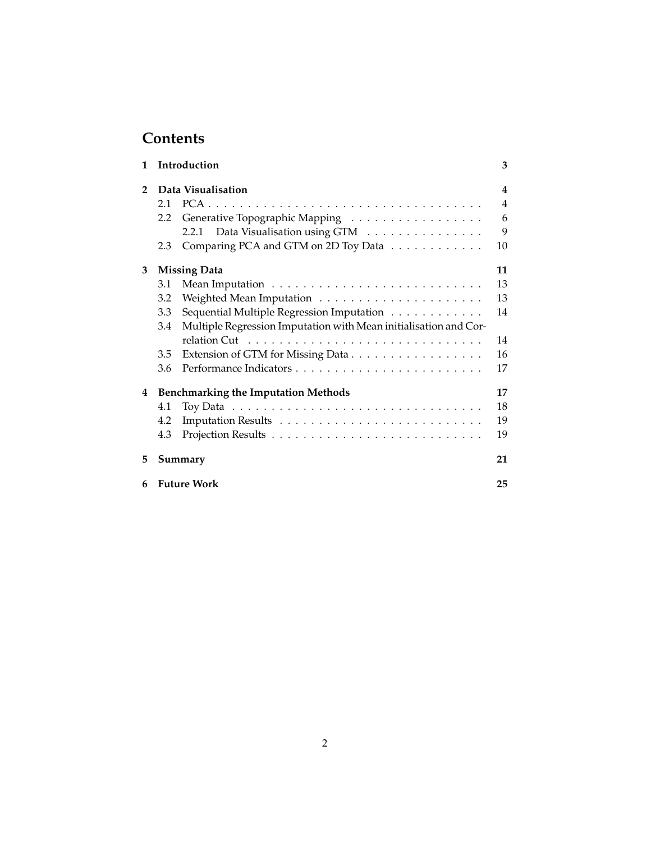## **Contents**

| 1            | Introduction                               |                                                                  | 3              |
|--------------|--------------------------------------------|------------------------------------------------------------------|----------------|
| $\mathbf{2}$ |                                            | Data Visualisation                                               | 4              |
|              | 2.1                                        |                                                                  | $\overline{4}$ |
|              | 2.2                                        | Generative Topographic Mapping                                   | 6              |
|              |                                            | Data Visualisation using GTM<br>2.2.1                            | 9              |
|              | 2.3                                        | Comparing PCA and GTM on 2D Toy Data                             | 10             |
| 3            |                                            | <b>Missing Data</b>                                              | 11             |
|              | 3.1                                        |                                                                  | 13             |
|              | 3.2                                        |                                                                  | 13             |
|              | 3.3                                        | Sequential Multiple Regression Imputation                        | 14             |
|              | 3.4                                        | Multiple Regression Imputation with Mean initialisation and Cor- |                |
|              |                                            |                                                                  | 14             |
|              | 3.5                                        | Extension of GTM for Missing Data                                | 16             |
|              | 3.6                                        |                                                                  | 17             |
| 4            | <b>Benchmarking the Imputation Methods</b> |                                                                  |                |
|              | 4.1                                        |                                                                  | 18             |
|              | 4.2                                        |                                                                  | 19             |
|              | 4.3                                        |                                                                  | 19             |
| 5            | Summary                                    |                                                                  | 21             |
| 6            | <b>Future Work</b>                         |                                                                  |                |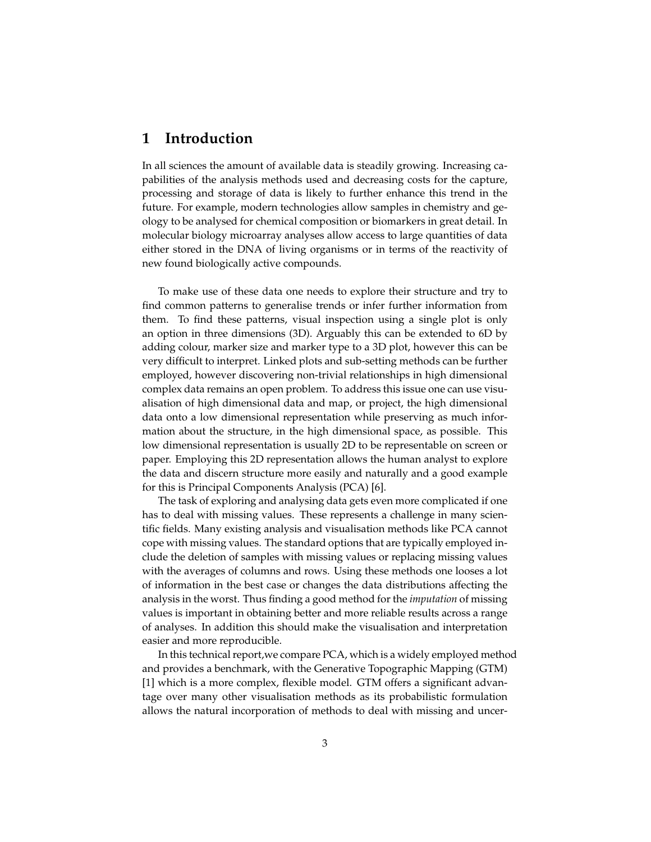## **1 Introduction**

In all sciences the amount of available data is steadily growing. Increasing capabilities of the analysis methods used and decreasing costs for the capture, processing and storage of data is likely to further enhance this trend in the future. For example, modern technologies allow samples in chemistry and geology to be analysed for chemical composition or biomarkers in great detail. In molecular biology microarray analyses allow access to large quantities of data either stored in the DNA of living organisms or in terms of the reactivity of new found biologically active compounds.

To make use of these data one needs to explore their structure and try to find common patterns to generalise trends or infer further information from them. To find these patterns, visual inspection using a single plot is only an option in three dimensions (3D). Arguably this can be extended to 6D by adding colour, marker size and marker type to a 3D plot, however this can be very difficult to interpret. Linked plots and sub-setting methods can be further employed, however discovering non-trivial relationships in high dimensional complex data remains an open problem. To address this issue one can use visualisation of high dimensional data and map, or project, the high dimensional data onto a low dimensional representation while preserving as much information about the structure, in the high dimensional space, as possible. This low dimensional representation is usually 2D to be representable on screen or paper. Employing this 2D representation allows the human analyst to explore the data and discern structure more easily and naturally and a good example for this is Principal Components Analysis (PCA) [6].

The task of exploring and analysing data gets even more complicated if one has to deal with missing values. These represents a challenge in many scientific fields. Many existing analysis and visualisation methods like PCA cannot cope with missing values. The standard options that are typically employed include the deletion of samples with missing values or replacing missing values with the averages of columns and rows. Using these methods one looses a lot of information in the best case or changes the data distributions affecting the analysis in the worst. Thus finding a good method for the *imputation* of missing values is important in obtaining better and more reliable results across a range of analyses. In addition this should make the visualisation and interpretation easier and more reproducible.

In this technical report,we compare PCA, which is a widely employed method and provides a benchmark, with the Generative Topographic Mapping (GTM) [1] which is a more complex, flexible model. GTM offers a significant advantage over many other visualisation methods as its probabilistic formulation allows the natural incorporation of methods to deal with missing and uncer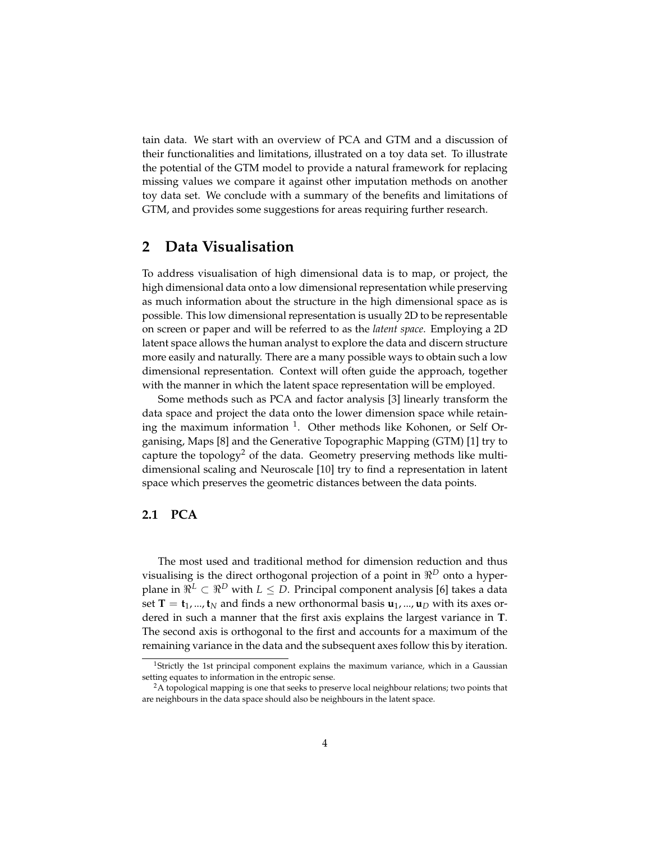tain data. We start with an overview of PCA and GTM and a discussion of their functionalities and limitations, illustrated on a toy data set. To illustrate the potential of the GTM model to provide a natural framework for replacing missing values we compare it against other imputation methods on another toy data set. We conclude with a summary of the benefits and limitations of GTM, and provides some suggestions for areas requiring further research.

## **2 Data Visualisation**

To address visualisation of high dimensional data is to map, or project, the high dimensional data onto a low dimensional representation while preserving as much information about the structure in the high dimensional space as is possible. This low dimensional representation is usually 2D to be representable on screen or paper and will be referred to as the *latent space*. Employing a 2D latent space allows the human analyst to explore the data and discern structure more easily and naturally. There are a many possible ways to obtain such a low dimensional representation. Context will often guide the approach, together with the manner in which the latent space representation will be employed.

Some methods such as PCA and factor analysis [3] linearly transform the data space and project the data onto the lower dimension space while retaining the maximum information <sup>1</sup>. Other methods like Kohonen, or Self Organising, Maps [8] and the Generative Topographic Mapping (GTM) [1] try to capture the topology<sup>2</sup> of the data. Geometry preserving methods like multidimensional scaling and Neuroscale [10] try to find a representation in latent space which preserves the geometric distances between the data points.

## **2.1 PCA**

The most used and traditional method for dimension reduction and thus visualising is the direct orthogonal projection of a point in  $\mathbb{R}^D$  onto a hyperplane in  $\mathbb{R}^L \subset \mathbb{R}^D$  with  $L \leq D$ . Principal component analysis [6] takes a data set **T** =  $t_1$ , ...,  $t_N$  and finds a new orthonormal basis  $u_1$ , ...,  $u_D$  with its axes ordered in such a manner that the first axis explains the largest variance in **T**. The second axis is orthogonal to the first and accounts for a maximum of the remaining variance in the data and the subsequent axes follow this by iteration.

<sup>&</sup>lt;sup>1</sup>Strictly the 1st principal component explains the maximum variance, which in a Gaussian setting equates to information in the entropic sense.

 $2A$  topological mapping is one that seeks to preserve local neighbour relations; two points that are neighbours in the data space should also be neighbours in the latent space.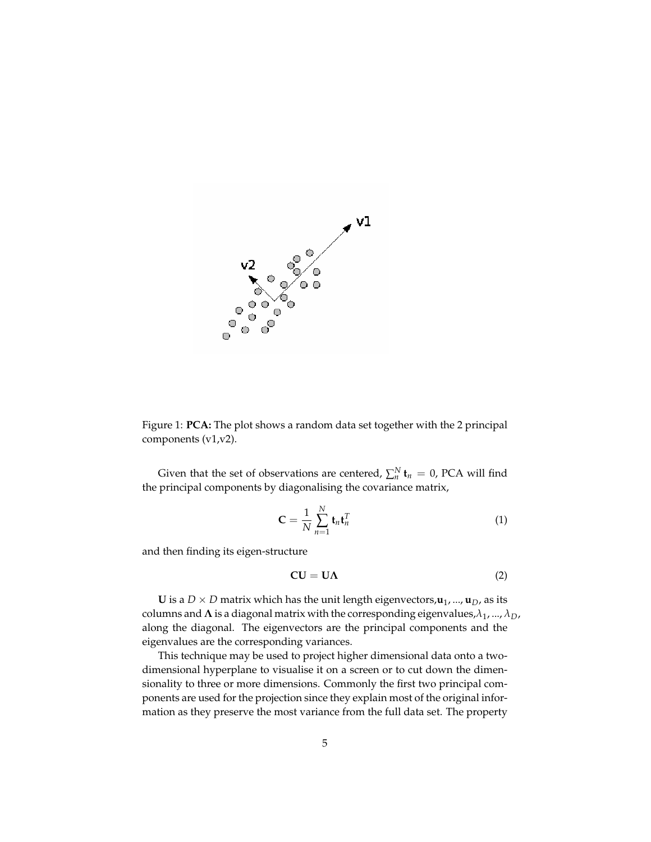

Figure 1: **PCA:** The plot shows a random data set together with the 2 principal components (v1,v2).

Given that the set of observations are centered,  $\sum_{n=1}^{N} \mathbf{t}_n = 0$ , PCA will find the principal components by diagonalising the covariance matrix,

$$
\mathbf{C} = \frac{1}{N} \sum_{n=1}^{N} \mathbf{t}_n \mathbf{t}_n^T \tag{1}
$$

and then finding its eigen-structure

$$
CU = U\Lambda
$$
 (2)

**U** is a  $D \times D$  matrix which has the unit length eigenvectors,  $\mathbf{u}_1$ , ...,  $\mathbf{u}_D$ , as its columns and **Λ** is a diagonal matrix with the corresponding eigenvalues,*λ*1, ..., *λD*, along the diagonal. The eigenvectors are the principal components and the eigenvalues are the corresponding variances.

This technique may be used to project higher dimensional data onto a twodimensional hyperplane to visualise it on a screen or to cut down the dimensionality to three or more dimensions. Commonly the first two principal components are used for the projection since they explain most of the original information as they preserve the most variance from the full data set. The property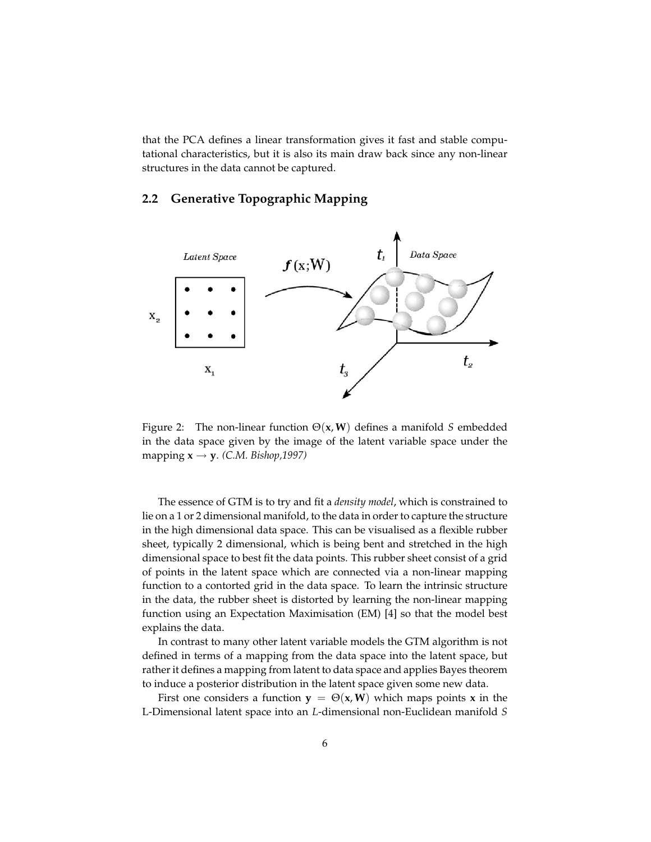that the PCA defines a linear transformation gives it fast and stable computational characteristics, but it is also its main draw back since any non-linear structures in the data cannot be captured.

## **2.2 Generative Topographic Mapping**



Figure 2: The non-linear function Θ(**x**, **W**) defines a manifold *S* embedded in the data space given by the image of the latent variable space under the mapping  $x \rightarrow y$ . *(C.M. Bishop,1997)* 

The essence of GTM is to try and fit a *density model*, which is constrained to lie on a 1 or 2 dimensional manifold, to the data in order to capture the structure in the high dimensional data space. This can be visualised as a flexible rubber sheet, typically 2 dimensional, which is being bent and stretched in the high dimensional space to best fit the data points. This rubber sheet consist of a grid of points in the latent space which are connected via a non-linear mapping function to a contorted grid in the data space. To learn the intrinsic structure in the data, the rubber sheet is distorted by learning the non-linear mapping function using an Expectation Maximisation (EM) [4] so that the model best explains the data.

In contrast to many other latent variable models the GTM algorithm is not defined in terms of a mapping from the data space into the latent space, but rather it defines a mapping from latent to data space and applies Bayes theorem to induce a posterior distribution in the latent space given some new data.

First one considers a function  $y = \Theta(x, W)$  which maps points x in the L-Dimensional latent space into an *L*-dimensional non-Euclidean manifold *S*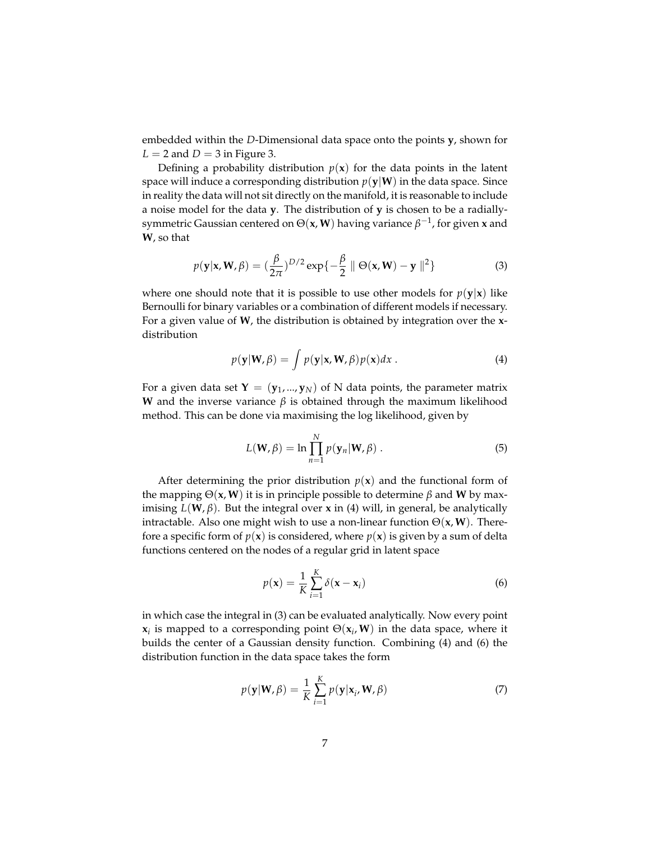embedded within the *D*-Dimensional data space onto the points **y**, shown for  $L = 2$  and  $D = 3$  in Figure 3.

Defining a probability distribution  $p(x)$  for the data points in the latent space will induce a corresponding distribution  $p(\mathbf{y}|\mathbf{W})$  in the data space. Since in reality the data will not sit directly on the manifold, it is reasonable to include a noise model for the data **y**. The distribution of **y** is chosen to be a radially- $\mathsf{symmetric}$  Gaussian centered on  $\Theta(\mathbf{x},\mathbf{W})$  having variance  $\beta^{-1}$ , for given  $\mathbf x$  and **W**, so that

$$
p(\mathbf{y}|\mathbf{x}, \mathbf{W}, \beta) = \left(\frac{\beta}{2\pi}\right)^{D/2} \exp\left\{-\frac{\beta}{2} \parallel \Theta(\mathbf{x}, \mathbf{W}) - \mathbf{y} \parallel^2\right\}
$$
(3)

where one should note that it is possible to use other models for  $p(\mathbf{y}|\mathbf{x})$  like Bernoulli for binary variables or a combination of different models if necessary. For a given value of **W**, the distribution is obtained by integration over the **x**distribution

$$
p(\mathbf{y}|\mathbf{W}, \beta) = \int p(\mathbf{y}|\mathbf{x}, \mathbf{W}, \beta) p(\mathbf{x}) dx.
$$
 (4)

For a given data set  $Y = (y_1, ..., y_N)$  of N data points, the parameter matrix **W** and the inverse variance  $\beta$  is obtained through the maximum likelihood method. This can be done via maximising the log likelihood, given by

$$
L(\mathbf{W}, \beta) = \ln \prod_{n=1}^{N} p(\mathbf{y}_n | \mathbf{W}, \beta).
$$
 (5)

After determining the prior distribution  $p(x)$  and the functional form of the mapping Θ(**x**, **W**) it is in principle possible to determine *β* and **W** by maximising  $L(W, β)$ . But the integral over **x** in (4) will, in general, be analytically intractable. Also one might wish to use a non-linear function Θ(**x**, **W**). Therefore a specific form of  $p(x)$  is considered, where  $p(x)$  is given by a sum of delta functions centered on the nodes of a regular grid in latent space

$$
p(\mathbf{x}) = \frac{1}{K} \sum_{i=1}^{K} \delta(\mathbf{x} - \mathbf{x}_i)
$$
\n(6)

in which case the integral in (3) can be evaluated analytically. Now every point  $\mathbf{x}_i$  is mapped to a corresponding point  $\Theta(\mathbf{x}_i, \mathbf{W})$  in the data space, where it builds the center of a Gaussian density function. Combining (4) and (6) the distribution function in the data space takes the form

$$
p(\mathbf{y}|\mathbf{W}, \beta) = \frac{1}{K} \sum_{i=1}^{K} p(\mathbf{y}|\mathbf{x}_i, \mathbf{W}, \beta)
$$
 (7)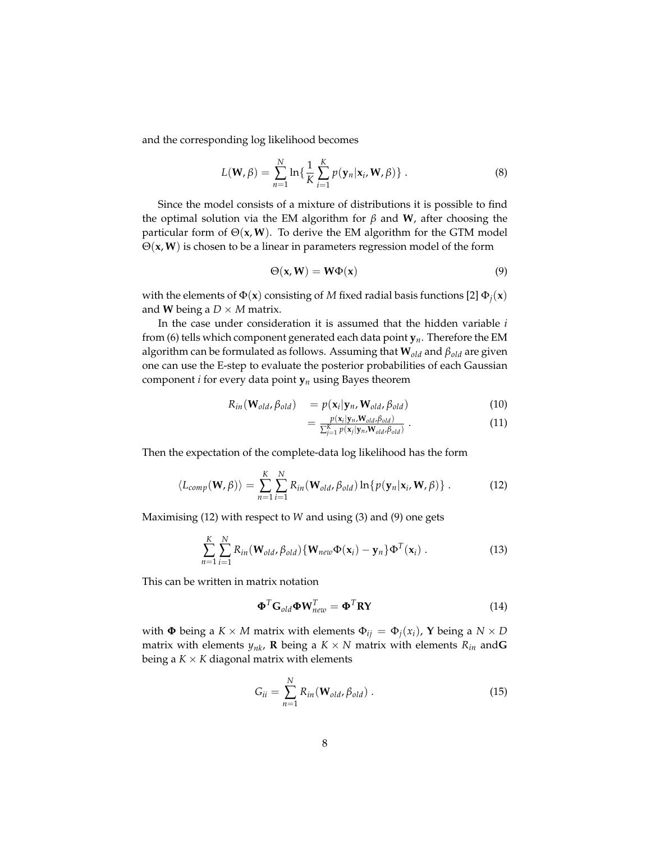and the corresponding log likelihood becomes

$$
L(\mathbf{W}, \beta) = \sum_{n=1}^{N} \ln \left\{ \frac{1}{K} \sum_{i=1}^{K} p(\mathbf{y}_n | \mathbf{x}_i, \mathbf{W}, \beta) \right\}.
$$
 (8)

Since the model consists of a mixture of distributions it is possible to find the optimal solution via the EM algorithm for *β* and **W**, after choosing the particular form of  $\Theta(x, W)$ . To derive the EM algorithm for the GTM model Θ(**x**, **W**) is chosen to be a linear in parameters regression model of the form

$$
\Theta(\mathbf{x}, \mathbf{W}) = \mathbf{W}\Phi(\mathbf{x}) \tag{9}
$$

with the elements of  $\Phi(\mathbf{x})$  consisting of *M* fixed radial basis functions [2]  $\Phi_j(\mathbf{x})$ and **W** being a  $D \times M$  matrix.

In the case under consideration it is assumed that the hidden variable *i* from (6) tells which component generated each data point **y***n*. Therefore the EM algorithm can be formulated as follows. Assuming that **W***old* and *βold* are given one can use the E-step to evaluate the posterior probabilities of each Gaussian component *i* for every data point **y***<sup>n</sup>* using Bayes theorem

$$
R_{in}(\mathbf{W}_{old}, \beta_{old}) = p(\mathbf{x}_i | \mathbf{y}_n, \mathbf{W}_{old}, \beta_{old})
$$
(10)

$$
= \frac{p(\mathbf{x}_i|\mathbf{y}_n,\mathbf{W}_{old}\beta_{old})}{\sum_{j=1}^K p(\mathbf{x}_j|\mathbf{y}_n,\mathbf{W}_{old}\beta_{old})} \ . \tag{11}
$$

Then the expectation of the complete-data log likelihood has the form

$$
\langle L_{comp}(\mathbf{W}, \beta) \rangle = \sum_{n=1}^{K} \sum_{i=1}^{N} R_{in}(\mathbf{W}_{old}, \beta_{old}) \ln \{p(\mathbf{y}_n | \mathbf{x}_i, \mathbf{W}, \beta)\}.
$$
 (12)

Maximising (12) with respect to *W* and using (3) and (9) one gets

$$
\sum_{n=1}^{K} \sum_{i=1}^{N} R_{in}(\mathbf{W}_{old}, \beta_{old}) \{ \mathbf{W}_{new} \Phi(\mathbf{x}_i) - \mathbf{y}_n \} \Phi^{T}(\mathbf{x}_i).
$$
 (13)

This can be written in matrix notation

$$
\mathbf{\Phi}^T \mathbf{G}_{old} \mathbf{\Phi} \mathbf{W}_{new}^T = \mathbf{\Phi}^T \mathbf{R} \mathbf{Y}
$$
 (14)

with  $\Phi$  being a  $K \times M$  matrix with elements  $\Phi_{ij} = \Phi_j(x_i)$ ,  $\Upsilon$  being a  $N \times D$ matrix with elements  $y_{nk}$ , **R** being a  $K \times N$  matrix with elements  $R_{in}$  and **G** being a  $K \times K$  diagonal matrix with elements

$$
G_{ii} = \sum_{n=1}^{N} R_{in}(\mathbf{W}_{old}, \beta_{old}) .
$$
 (15)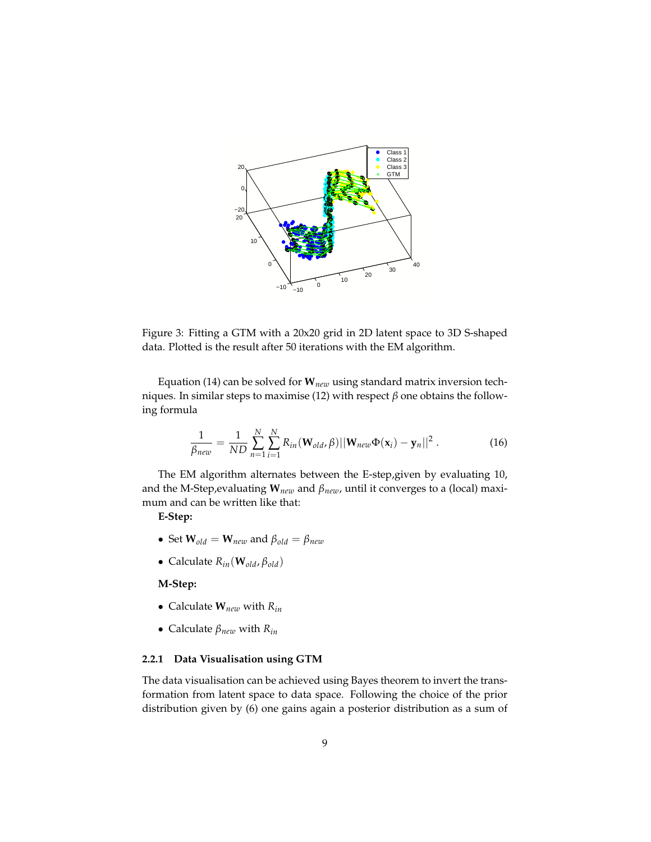

Figure 3: Fitting a GTM with a 20x20 grid in 2D latent space to 3D S-shaped data. Plotted is the result after 50 iterations with the EM algorithm.

Equation (14) can be solved for **W***new* using standard matrix inversion techniques. In similar steps to maximise (12) with respect *β* one obtains the following formula

$$
\frac{1}{\beta_{new}} = \frac{1}{ND} \sum_{n=1}^{N} \sum_{i=1}^{N} R_{in}(\mathbf{W}_{old}, \beta) ||\mathbf{W}_{new} \Phi(\mathbf{x}_i) - \mathbf{y}_n||^2.
$$
 (16)

The EM algorithm alternates between the E-step,given by evaluating 10, and the M-Step,evaluating **W***new* and *βnew*, until it converges to a (local) maximum and can be written like that:

**E-Step:**

- Set  $W_{old} = W_{new}$  and  $\beta_{old} = \beta_{new}$
- Calculate  $R_{in}(\mathbf{W}_{old}, \beta_{old})$

**M-Step:**

- Calculate **W***new* with *Rin*
- Calculate *βnew* with *Rin*

#### **2.2.1 Data Visualisation using GTM**

The data visualisation can be achieved using Bayes theorem to invert the transformation from latent space to data space. Following the choice of the prior distribution given by (6) one gains again a posterior distribution as a sum of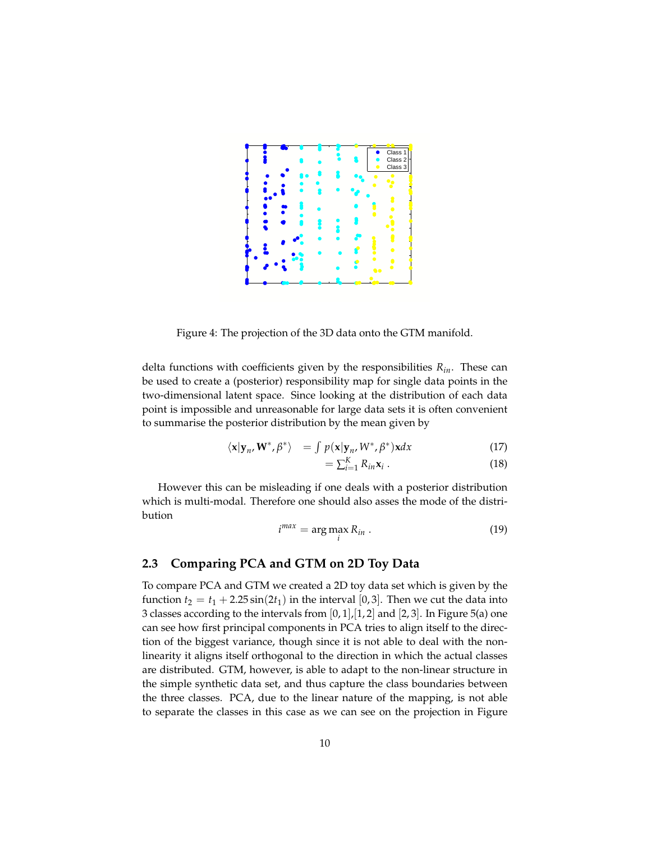

Figure 4: The projection of the 3D data onto the GTM manifold.

delta functions with coefficients given by the responsibilities *Rin*. These can be used to create a (posterior) responsibility map for single data points in the two-dimensional latent space. Since looking at the distribution of each data point is impossible and unreasonable for large data sets it is often convenient to summarise the posterior distribution by the mean given by

$$
\langle \mathbf{x} | \mathbf{y}_n, \mathbf{W}^*, \boldsymbol{\beta}^* \rangle = \int p(\mathbf{x} | \mathbf{y}_n, W^*, \boldsymbol{\beta}^*) \mathbf{x} dx \tag{17}
$$

$$
=\sum_{i=1}^{K}R_{in}\mathbf{x}_{i}.
$$
 (18)

However this can be misleading if one deals with a posterior distribution which is multi-modal. Therefore one should also asses the mode of the distribution

$$
i^{max} = \arg\max_{i} R_{in} \tag{19}
$$

### **2.3 Comparing PCA and GTM on 2D Toy Data**

To compare PCA and GTM we created a 2D toy data set which is given by the function  $t_2 = t_1 + 2.25 \sin(2t_1)$  in the interval [0,3]. Then we cut the data into 3 classes according to the intervals from  $[0, 1]$ ,  $[1, 2]$  and  $[2, 3]$ . In Figure 5(a) one can see how first principal components in PCA tries to align itself to the direction of the biggest variance, though since it is not able to deal with the nonlinearity it aligns itself orthogonal to the direction in which the actual classes are distributed. GTM, however, is able to adapt to the non-linear structure in the simple synthetic data set, and thus capture the class boundaries between the three classes. PCA, due to the linear nature of the mapping, is not able to separate the classes in this case as we can see on the projection in Figure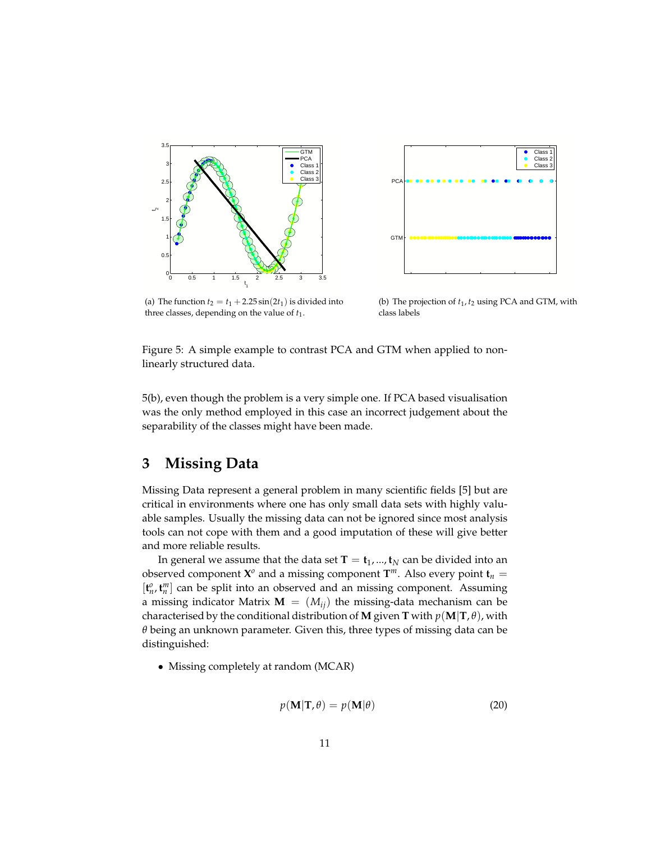



(a) The function  $t_2 = t_1 + 2.25 \sin(2t_1)$  is divided into three classes, depending on the value of *t*1.

(b) The projection of *t*1, *t*<sup>2</sup> using PCA and GTM, with class labels

Figure 5: A simple example to contrast PCA and GTM when applied to nonlinearly structured data.

5(b), even though the problem is a very simple one. If PCA based visualisation was the only method employed in this case an incorrect judgement about the separability of the classes might have been made.

## **3 Missing Data**

Missing Data represent a general problem in many scientific fields [5] but are critical in environments where one has only small data sets with highly valuable samples. Usually the missing data can not be ignored since most analysis tools can not cope with them and a good imputation of these will give better and more reliable results.

In general we assume that the data set  $T = t_1, ..., t_N$  can be divided into an observed component  $X^o$  and a missing component  $T^m$ . Also every point  $t_n =$ [ $t_n^o$ ,  $t_n^m$ ] can be split into an observed and an missing component. Assuming a missing indicator Matrix  $M = (M_{ii})$  the missing-data mechanism can be characterised by the conditional distribution of **M** given **T** with  $p(\mathbf{M}|\mathbf{T},\theta)$ , with *θ* being an unknown parameter. Given this, three types of missing data can be distinguished:

• Missing completely at random (MCAR)

$$
p(\mathbf{M}|\mathbf{T},\theta) = p(\mathbf{M}|\theta)
$$
 (20)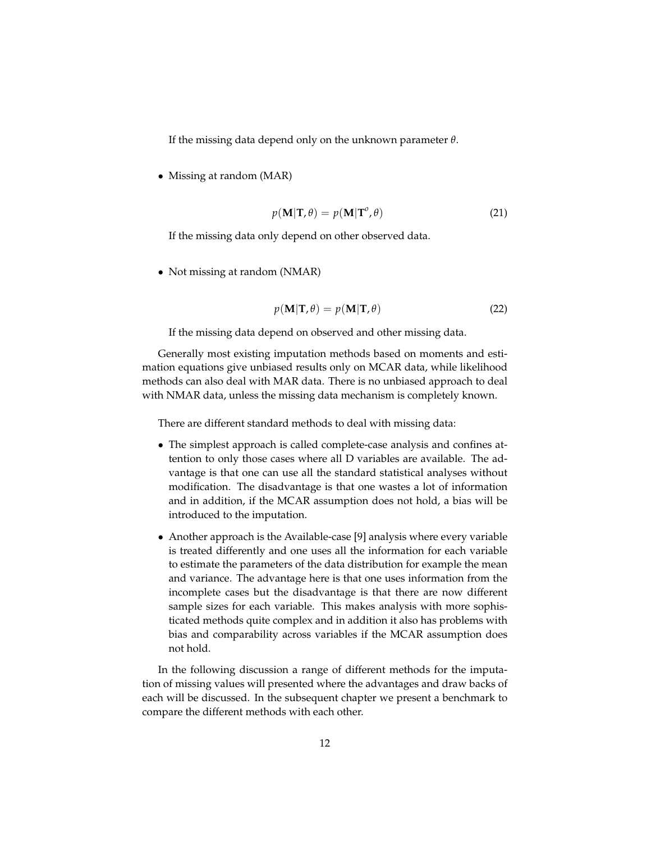If the missing data depend only on the unknown parameter *θ*.

• Missing at random (MAR)

$$
p(\mathbf{M}|\mathbf{T},\theta) = p(\mathbf{M}|\mathbf{T}^o,\theta)
$$
 (21)

If the missing data only depend on other observed data.

• Not missing at random (NMAR)

$$
p(\mathbf{M}|\mathbf{T},\theta) = p(\mathbf{M}|\mathbf{T},\theta)
$$
\n(22)

If the missing data depend on observed and other missing data.

Generally most existing imputation methods based on moments and estimation equations give unbiased results only on MCAR data, while likelihood methods can also deal with MAR data. There is no unbiased approach to deal with NMAR data, unless the missing data mechanism is completely known.

There are different standard methods to deal with missing data:

- The simplest approach is called complete-case analysis and confines attention to only those cases where all D variables are available. The advantage is that one can use all the standard statistical analyses without modification. The disadvantage is that one wastes a lot of information and in addition, if the MCAR assumption does not hold, a bias will be introduced to the imputation.
- Another approach is the Available-case [9] analysis where every variable is treated differently and one uses all the information for each variable to estimate the parameters of the data distribution for example the mean and variance. The advantage here is that one uses information from the incomplete cases but the disadvantage is that there are now different sample sizes for each variable. This makes analysis with more sophisticated methods quite complex and in addition it also has problems with bias and comparability across variables if the MCAR assumption does not hold.

In the following discussion a range of different methods for the imputation of missing values will presented where the advantages and draw backs of each will be discussed. In the subsequent chapter we present a benchmark to compare the different methods with each other.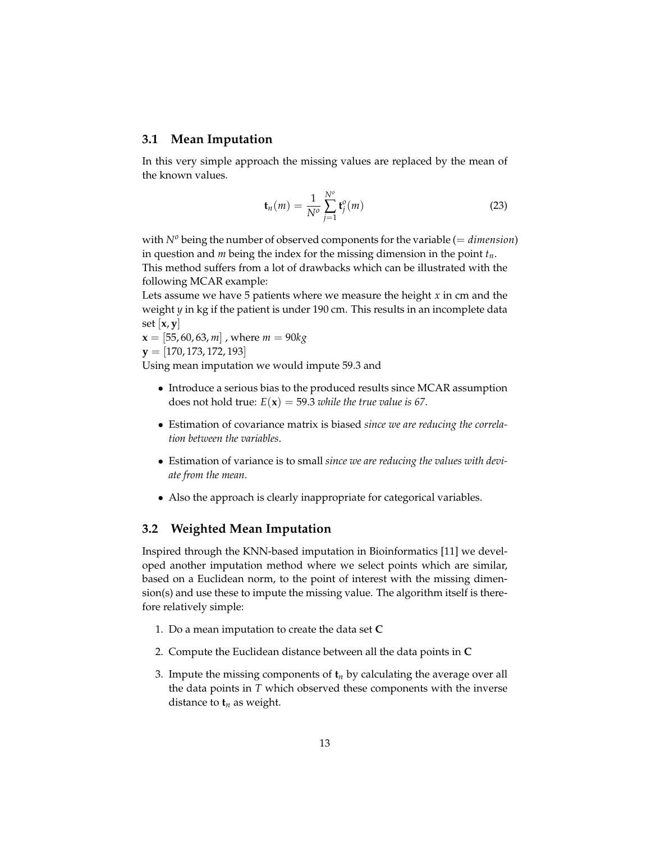#### **3.1 Mean Imputation**

In this very simple approach the missing values are replaced by the mean of the known values.

$$
\mathbf{t}_n(m) = \frac{1}{N^o} \sum_{j=1}^{N^o} \mathbf{t}_j^o(m)
$$
 (23)

with  $N<sup>o</sup>$  being the number of observed components for the variable (=  $dimension$ ) in question and *m* being the index for the missing dimension in the point *tn*. This method suffers from a lot of drawbacks which can be illustrated with the following MCAR example:

Lets assume we have 5 patients where we measure the height *x* in cm and the weight *y* in kg if the patient is under 190 cm. This results in an incomplete data set [**x**, **y**]

$$
x = [55, 60, 63, m]
$$
, where  $m = 90kg$ 

$$
y = [170, 173, 172, 193]
$$

Using mean imputation we would impute 59.3 and

- Introduce a serious bias to the produced results since MCAR assumption does not hold true:  $E(x) = 59.3$  *while the true value is 67*.
- Estimation of covariance matrix is biased *since we are reducing the correlation between the variables*.
- Estimation of variance is to small *since we are reducing the values with deviate from the mean*.
- Also the approach is clearly inappropriate for categorical variables.

## **3.2 Weighted Mean Imputation**

Inspired through the KNN-based imputation in Bioinformatics [11] we developed another imputation method where we select points which are similar, based on a Euclidean norm, to the point of interest with the missing dimension(s) and use these to impute the missing value. The algorithm itself is therefore relatively simple:

- 1. Do a mean imputation to create the data set **C**
- 2. Compute the Euclidean distance between all the data points in **C**
- 3. Impute the missing components of  $t_n$  by calculating the average over all the data points in *T* which observed these components with the inverse distance to  $t_n$  as weight.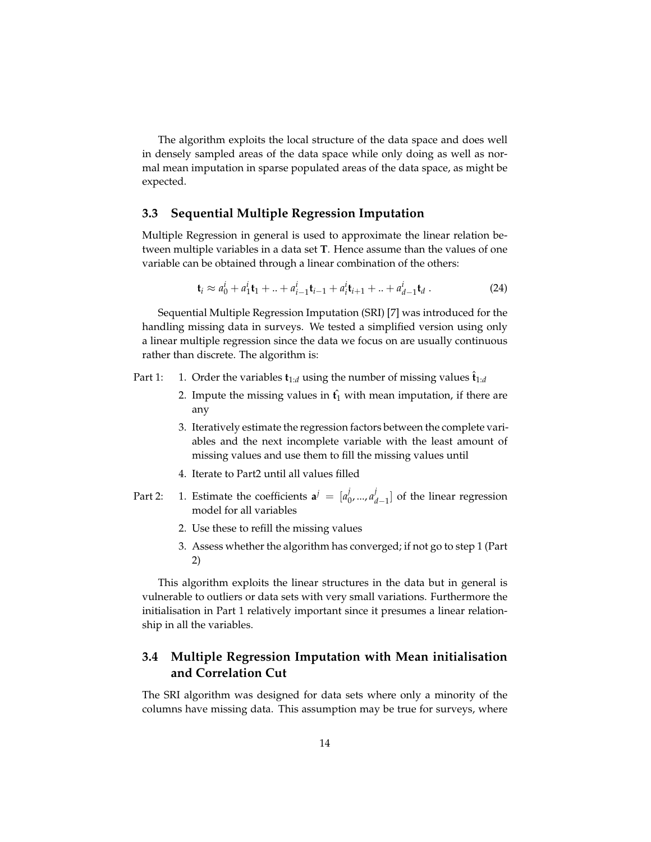The algorithm exploits the local structure of the data space and does well in densely sampled areas of the data space while only doing as well as normal mean imputation in sparse populated areas of the data space, as might be expected.

#### **3.3 Sequential Multiple Regression Imputation**

Multiple Regression in general is used to approximate the linear relation between multiple variables in a data set **T**. Hence assume than the values of one variable can be obtained through a linear combination of the others:

$$
\mathbf{t}_{i} \approx a_{0}^{i} + a_{1}^{i} \mathbf{t}_{1} + \ldots + a_{i-1}^{i} \mathbf{t}_{i-1} + a_{i}^{i} \mathbf{t}_{i+1} + \ldots + a_{d-1}^{i} \mathbf{t}_{d} \,. \tag{24}
$$

Sequential Multiple Regression Imputation (SRI) [7] was introduced for the handling missing data in surveys. We tested a simplified version using only a linear multiple regression since the data we focus on are usually continuous rather than discrete. The algorithm is:

- Part 1: 1. Order the variables  $t_{1:d}$  using the number of missing values  $\hat{t}_{1:d}$ 
	- 2. Impute the missing values in  $\hat{\mathbf{t}}_1$  with mean imputation, if there are any
	- 3. Iteratively estimate the regression factors between the complete variables and the next incomplete variable with the least amount of missing values and use them to fill the missing values until
	- 4. Iterate to Part2 until all values filled
- Part 2: 1. Estimate the coefficients  $a^j = [a]_0^j$ 0 , ..., *a j*  $\binom{d}{d-1}$  of the linear regression model for all variables
	- 2. Use these to refill the missing values
	- 3. Assess whether the algorithm has converged; if not go to step 1 (Part 2)

This algorithm exploits the linear structures in the data but in general is vulnerable to outliers or data sets with very small variations. Furthermore the initialisation in Part 1 relatively important since it presumes a linear relationship in all the variables.

## **3.4 Multiple Regression Imputation with Mean initialisation and Correlation Cut**

The SRI algorithm was designed for data sets where only a minority of the columns have missing data. This assumption may be true for surveys, where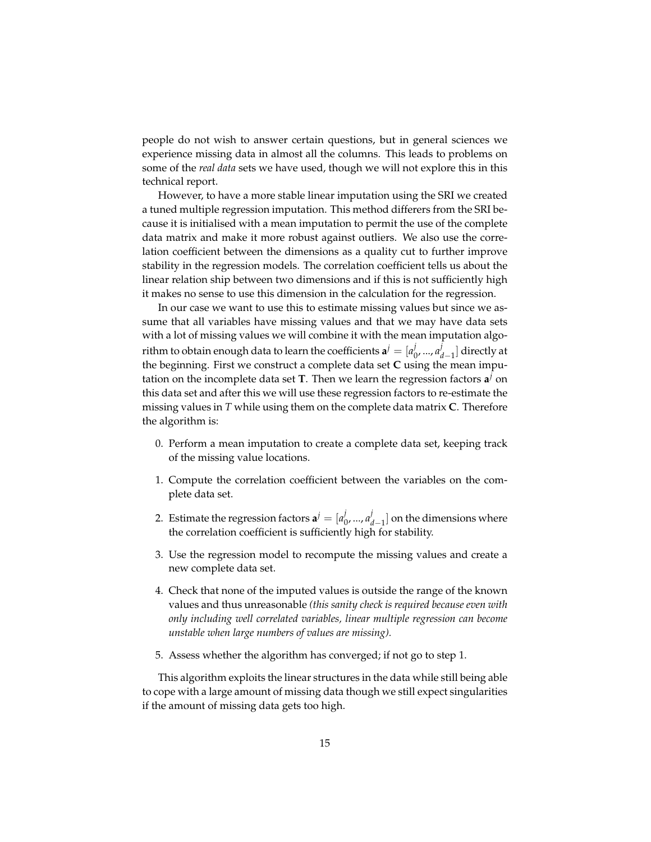people do not wish to answer certain questions, but in general sciences we experience missing data in almost all the columns. This leads to problems on some of the *real data* sets we have used, though we will not explore this in this technical report.

However, to have a more stable linear imputation using the SRI we created a tuned multiple regression imputation. This method differers from the SRI because it is initialised with a mean imputation to permit the use of the complete data matrix and make it more robust against outliers. We also use the correlation coefficient between the dimensions as a quality cut to further improve stability in the regression models. The correlation coefficient tells us about the linear relation ship between two dimensions and if this is not sufficiently high it makes no sense to use this dimension in the calculation for the regression.

In our case we want to use this to estimate missing values but since we assume that all variables have missing values and that we may have data sets with a lot of missing values we will combine it with the mean imputation algorithm to obtain enough data to learn the coefficients  $\mathbf{a}^j = [a^j_q]$ 0 , ..., *a j d*−1 ] directly at the beginning. First we construct a complete data set **C** using the mean imputation on the incomplete data set **T**. Then we learn the regression factors **a** *<sup>j</sup>* on this data set and after this we will use these regression factors to re-estimate the missing values in *T* while using them on the complete data matrix **C**. Therefore the algorithm is:

- 0. Perform a mean imputation to create a complete data set, keeping track of the missing value locations.
- 1. Compute the correlation coefficient between the variables on the complete data set.
- 2. Estimate the regression factors  $\mathbf{a}^j = [a]_0^j$ 0 , ..., *a j*  $\binom{d}{d-1}$  on the dimensions where the correlation coefficient is sufficiently high for stability.
- 3. Use the regression model to recompute the missing values and create a new complete data set.
- 4. Check that none of the imputed values is outside the range of the known values and thus unreasonable *(this sanity check is required because even with only including well correlated variables, linear multiple regression can become unstable when large numbers of values are missing).*
- 5. Assess whether the algorithm has converged; if not go to step 1.

This algorithm exploits the linear structures in the data while still being able to cope with a large amount of missing data though we still expect singularities if the amount of missing data gets too high.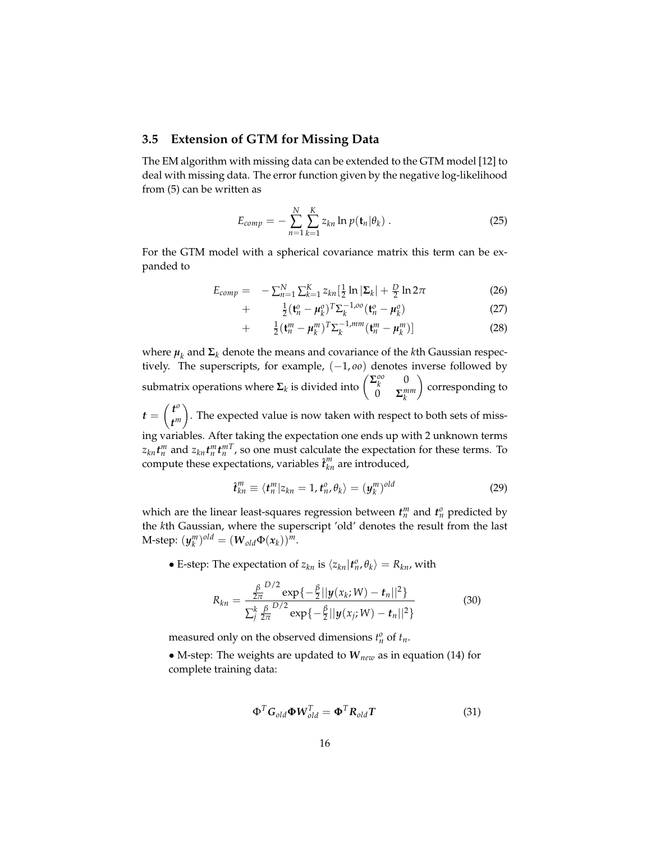### **3.5 Extension of GTM for Missing Data**

The EM algorithm with missing data can be extended to the GTM model [12] to deal with missing data. The error function given by the negative log-likelihood from (5) can be written as

$$
E_{comp} = -\sum_{n=1}^{N} \sum_{k=1}^{K} z_{kn} \ln p(\mathbf{t}_n | \theta_k) . \qquad (25)
$$

For the GTM model with a spherical covariance matrix this term can be expanded to

$$
E_{comp} = -\sum_{n=1}^{N} \sum_{k=1}^{K} z_{kn} \left[ \frac{1}{2} \ln |\Sigma_k| + \frac{D}{2} \ln 2\pi \right]
$$
 (26)

$$
+\qquad \frac{1}{2}(\mathbf{t}_n^o-\boldsymbol{\mu}_k^o)^T\Sigma_k^{-1,oo}(\mathbf{t}_n^o-\boldsymbol{\mu}_k^o)
$$
\n
$$
\tag{27}
$$

$$
+ \qquad \frac{1}{2}(\mathbf{t}_n^m - \boldsymbol{\mu}_k^m)^T \boldsymbol{\Sigma}_k^{-1,nm} (\mathbf{t}_n^m - \boldsymbol{\mu}_k^m)] \tag{28}
$$

where *µ<sup>k</sup>* and **Σ***<sup>k</sup>* denote the means and covariance of the *k*th Gaussian respectively. The superscripts, for example, (−1, *oo*) denotes inverse followed by submatrix operations where  $\Sigma_k$  is divided into  $\begin{pmatrix} \Sigma_k^{oo} & 0 \\ 0 & \nabla_k^{oo} \end{pmatrix}$ 0 **Σ** *mm k* corresponding to  $t = \begin{pmatrix} t^0 \\ t^m \end{pmatrix}$ *t m* . The expected value is now taken with respect to both sets of missing variables. After taking the expectation one ends up with 2 unknown terms  $z_{kn}t_n^m$  and  $z_{kn}t_n^m t_n^{m}$ , so one must calculate the expectation for these terms. To compute these expectations, variables  $\hat{\mathbf{t}}_{kn}^m$  are introduced,

$$
\hat{\mathbf{t}}_{kn}^m \equiv \langle \mathbf{t}_n^m | z_{kn} = 1, \mathbf{t}_n^o, \theta_k \rangle = (\mathbf{y}_k^m)^{old}
$$
 (29)

which are the linear least-squares regression between  $t_n^m$  and  $t_n^o$  predicted by the *k*th Gaussian, where the superscript 'old' denotes the result from the last  $M$ -step:  $(\mathbf{y}_{k}^{m})^{old} = (\mathbf{W}_{old}\Phi(\mathbf{x}_{k}))^{m}$ .

• E-step: The expectation of  $z_{kn}$  is  $\langle z_{kn}|t_n^o, \theta_k \rangle = R_{kn}$ , with

$$
R_{kn} = \frac{\frac{\beta}{2\pi}^{D/2} \exp\{-\frac{\beta}{2}||\mathbf{y}(x_k; W) - \mathbf{t}_n||^2\}}{\sum_{j}^{k} \frac{\beta}{2\pi}^{D/2} \exp\{-\frac{\beta}{2}||\mathbf{y}(x_j; W) - \mathbf{t}_n||^2\}}
$$
(30)

measured only on the observed dimensions  $t_n^o$  of  $t_n$ .

• M-step: The weights are updated to *Wnew* as in equation (14) for complete training data:

$$
\Phi^T G_{old} \Phi W_{old}^T = \Phi^T R_{old} T \tag{31}
$$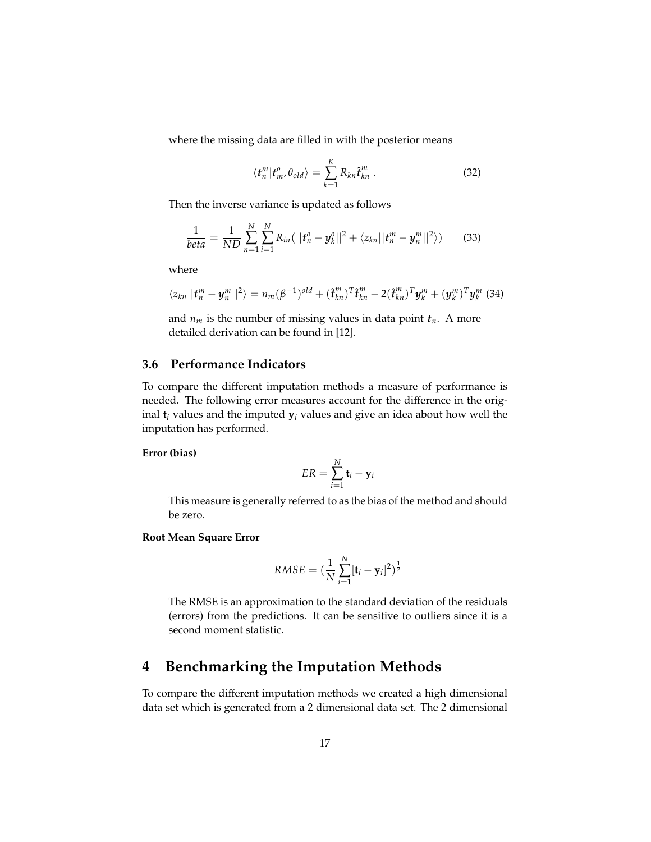where the missing data are filled in with the posterior means

$$
\langle t_n^m | t_{m}^o, \theta_{old} \rangle = \sum_{k=1}^K R_{kn} \hat{t}_{kn}^m . \qquad (32)
$$

Then the inverse variance is updated as follows

$$
\frac{1}{beta} = \frac{1}{ND} \sum_{n=1}^{N} \sum_{i=1}^{N} R_{in} (||\boldsymbol{t}_{n}^{o} - \boldsymbol{y}_{k}^{o}||^{2} + \langle z_{kn} || \boldsymbol{t}_{n}^{m} - \boldsymbol{y}_{n}^{m} ||^{2} \rangle)
$$
(33)

where

$$
\langle z_{kn}||\mathbf{t}_n^m - \mathbf{y}_n^m||^2 \rangle = n_m (\beta^{-1})^{old} + (\mathbf{\hat{t}}_{kn}^m)^T \mathbf{\hat{t}}_{kn}^m - 2(\mathbf{\hat{t}}_{kn}^m)^T \mathbf{y}_k^m + (\mathbf{y}_k^m)^T \mathbf{y}_k^m
$$
(34)

and  $n_m$  is the number of missing values in data point  $t_n$ . A more detailed derivation can be found in [12].

## **3.6 Performance Indicators**

To compare the different imputation methods a measure of performance is needed. The following error measures account for the difference in the original **t***<sup>i</sup>* values and the imputed **y***<sup>i</sup>* values and give an idea about how well the imputation has performed.

#### **Error (bias)**

$$
ER = \sum_{i=1}^{N} \mathbf{t}_i - \mathbf{y}_i
$$

This measure is generally referred to as the bias of the method and should be zero.

## **Root Mean Square Error**

$$
RMSE = (\frac{1}{N}\sum_{i=1}^{N}[\mathbf{t}_i - \mathbf{y}_i]^2)^{\frac{1}{2}}
$$

The RMSE is an approximation to the standard deviation of the residuals (errors) from the predictions. It can be sensitive to outliers since it is a second moment statistic.

## **4 Benchmarking the Imputation Methods**

To compare the different imputation methods we created a high dimensional data set which is generated from a 2 dimensional data set. The 2 dimensional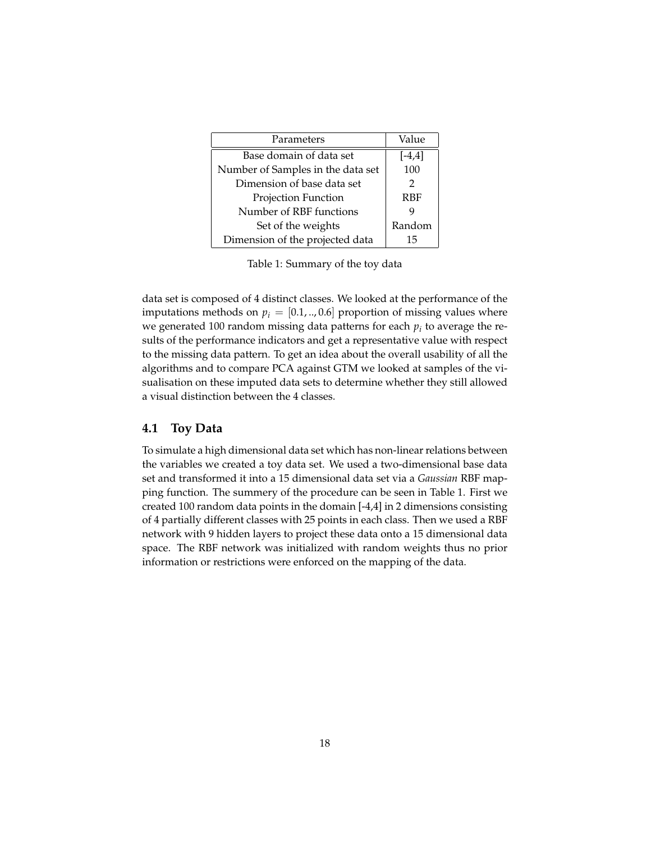| Parameters                        | Value    |
|-----------------------------------|----------|
| Base domain of data set           | $[-4,4]$ |
| Number of Samples in the data set | 100      |
| Dimension of base data set        | 2        |
| Projection Function               | RBF      |
| Number of RBF functions           |          |
| Set of the weights                | Random   |
| Dimension of the projected data   | 15       |

Table 1: Summary of the toy data

data set is composed of 4 distinct classes. We looked at the performance of the imputations methods on  $p_i = [0.1, ..., 0.6]$  proportion of missing values where we generated 100 random missing data patterns for each *p<sup>i</sup>* to average the results of the performance indicators and get a representative value with respect to the missing data pattern. To get an idea about the overall usability of all the algorithms and to compare PCA against GTM we looked at samples of the visualisation on these imputed data sets to determine whether they still allowed a visual distinction between the 4 classes.

## **4.1 Toy Data**

To simulate a high dimensional data set which has non-linear relations between the variables we created a toy data set. We used a two-dimensional base data set and transformed it into a 15 dimensional data set via a *Gaussian* RBF mapping function. The summery of the procedure can be seen in Table 1. First we created 100 random data points in the domain [-4,4] in 2 dimensions consisting of 4 partially different classes with 25 points in each class. Then we used a RBF network with 9 hidden layers to project these data onto a 15 dimensional data space. The RBF network was initialized with random weights thus no prior information or restrictions were enforced on the mapping of the data.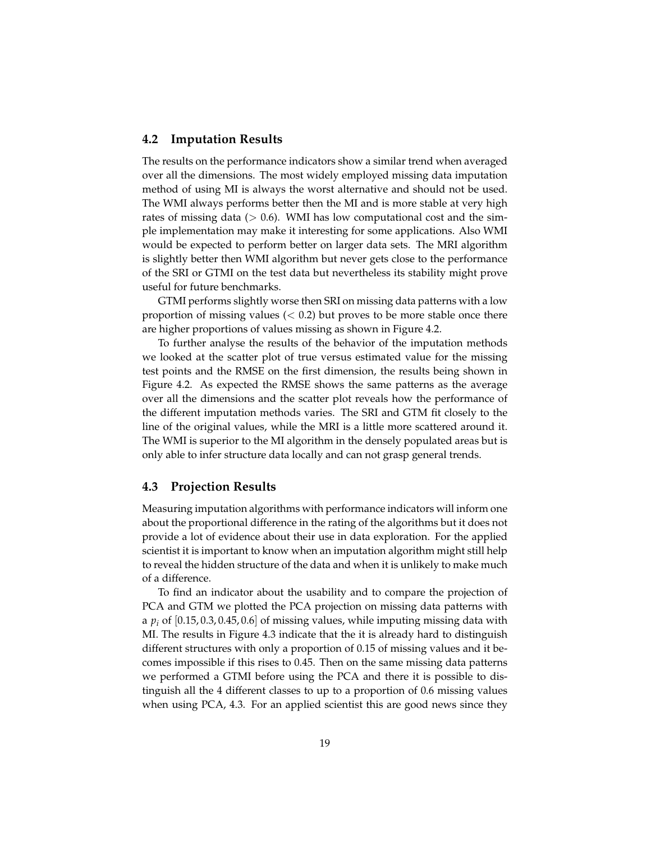#### **4.2 Imputation Results**

The results on the performance indicators show a similar trend when averaged over all the dimensions. The most widely employed missing data imputation method of using MI is always the worst alternative and should not be used. The WMI always performs better then the MI and is more stable at very high rates of missing data  $(> 0.6)$ . WMI has low computational cost and the simple implementation may make it interesting for some applications. Also WMI would be expected to perform better on larger data sets. The MRI algorithm is slightly better then WMI algorithm but never gets close to the performance of the SRI or GTMI on the test data but nevertheless its stability might prove useful for future benchmarks.

GTMI performs slightly worse then SRI on missing data patterns with a low proportion of missing values  $( $0.2$ ) but proves to be more stable once there$ are higher proportions of values missing as shown in Figure 4.2.

To further analyse the results of the behavior of the imputation methods we looked at the scatter plot of true versus estimated value for the missing test points and the RMSE on the first dimension, the results being shown in Figure 4.2. As expected the RMSE shows the same patterns as the average over all the dimensions and the scatter plot reveals how the performance of the different imputation methods varies. The SRI and GTM fit closely to the line of the original values, while the MRI is a little more scattered around it. The WMI is superior to the MI algorithm in the densely populated areas but is only able to infer structure data locally and can not grasp general trends.

## **4.3 Projection Results**

Measuring imputation algorithms with performance indicators will inform one about the proportional difference in the rating of the algorithms but it does not provide a lot of evidence about their use in data exploration. For the applied scientist it is important to know when an imputation algorithm might still help to reveal the hidden structure of the data and when it is unlikely to make much of a difference.

To find an indicator about the usability and to compare the projection of PCA and GTM we plotted the PCA projection on missing data patterns with a *p<sup>i</sup>* of [0.15, 0.3, 0.45, 0.6] of missing values, while imputing missing data with MI. The results in Figure 4.3 indicate that the it is already hard to distinguish different structures with only a proportion of 0.15 of missing values and it becomes impossible if this rises to 0.45. Then on the same missing data patterns we performed a GTMI before using the PCA and there it is possible to distinguish all the 4 different classes to up to a proportion of 0.6 missing values when using PCA, 4.3. For an applied scientist this are good news since they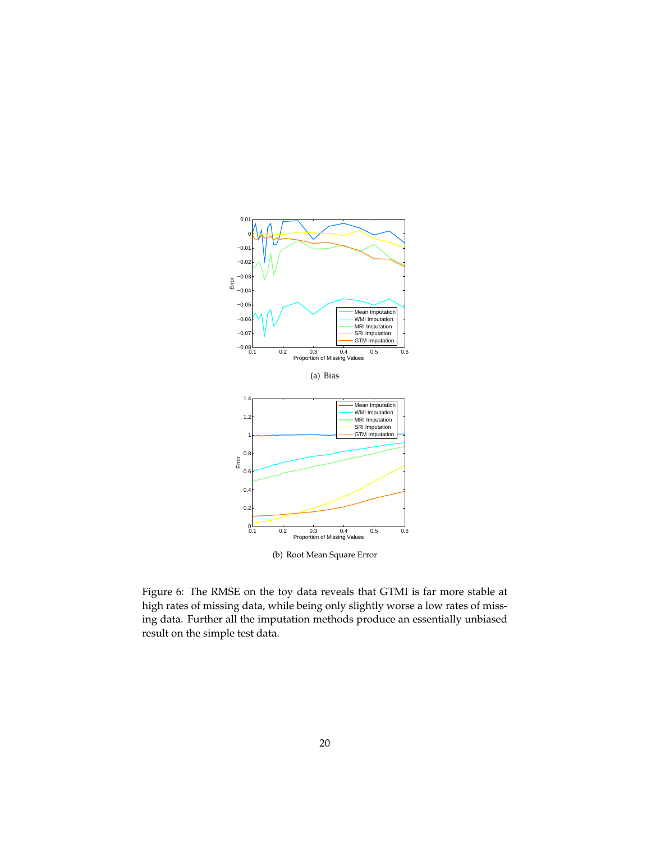

Figure 6: The RMSE on the toy data reveals that GTMI is far more stable at high rates of missing data, while being only slightly worse a low rates of missing data. Further all the imputation methods produce an essentially unbiased result on the simple test data.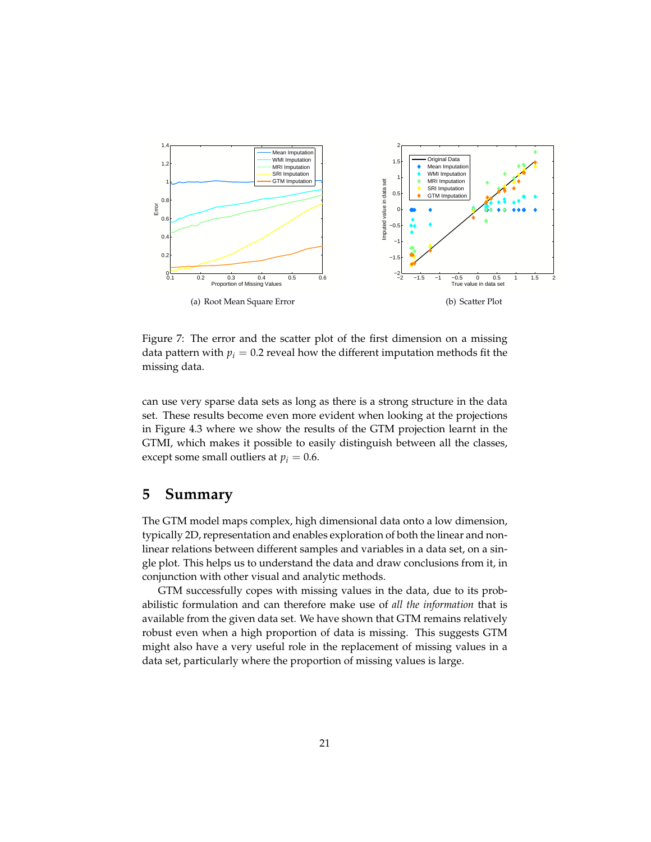

Figure 7: The error and the scatter plot of the first dimension on a missing data pattern with  $p_i = 0.2$  reveal how the different imputation methods fit the missing data.

can use very sparse data sets as long as there is a strong structure in the data set. These results become even more evident when looking at the projections in Figure 4.3 where we show the results of the GTM projection learnt in the GTMI, which makes it possible to easily distinguish between all the classes, except some small outliers at  $p_i = 0.6$ .

## **5 Summary**

The GTM model maps complex, high dimensional data onto a low dimension, typically 2D, representation and enables exploration of both the linear and nonlinear relations between different samples and variables in a data set, on a single plot. This helps us to understand the data and draw conclusions from it, in conjunction with other visual and analytic methods.

GTM successfully copes with missing values in the data, due to its probabilistic formulation and can therefore make use of *all the information* that is available from the given data set. We have shown that GTM remains relatively robust even when a high proportion of data is missing. This suggests GTM might also have a very useful role in the replacement of missing values in a data set, particularly where the proportion of missing values is large.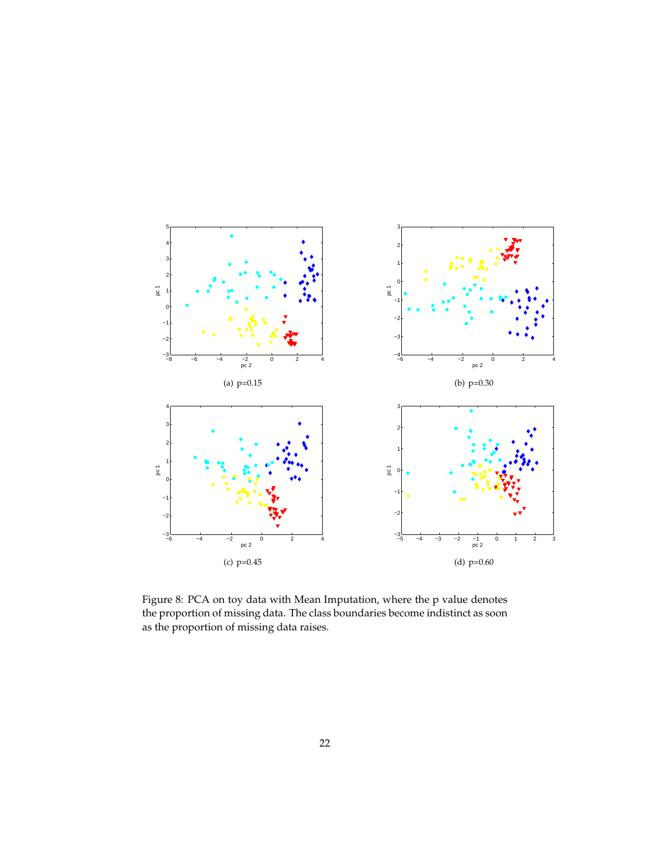

Figure 8: PCA on toy data with Mean Imputation, where the p value denotes the proportion of missing data. The class boundaries become indistinct as soon as the proportion of missing data raises.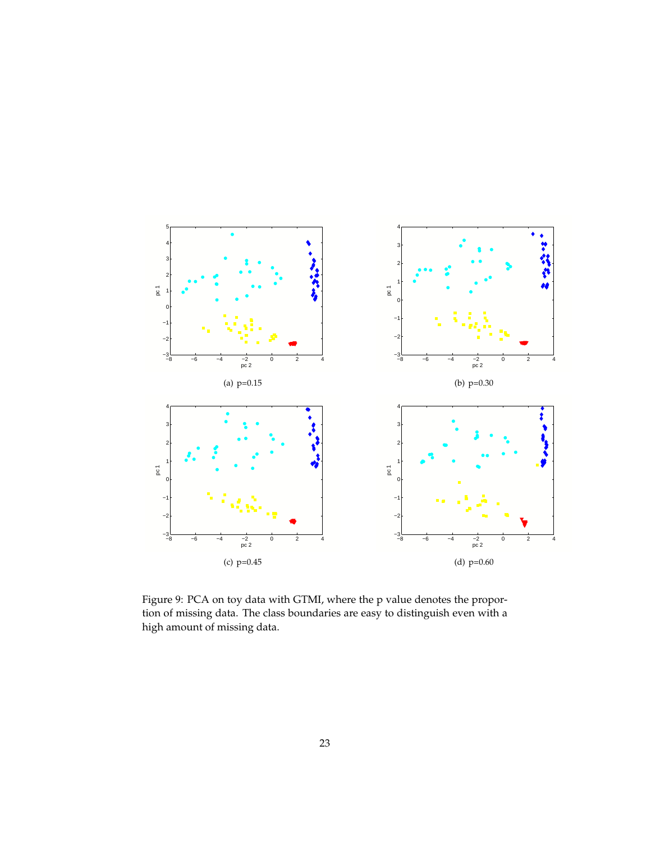

Figure 9: PCA on toy data with GTMI, where the p value denotes the proportion of missing data. The class boundaries are easy to distinguish even with a high amount of missing data.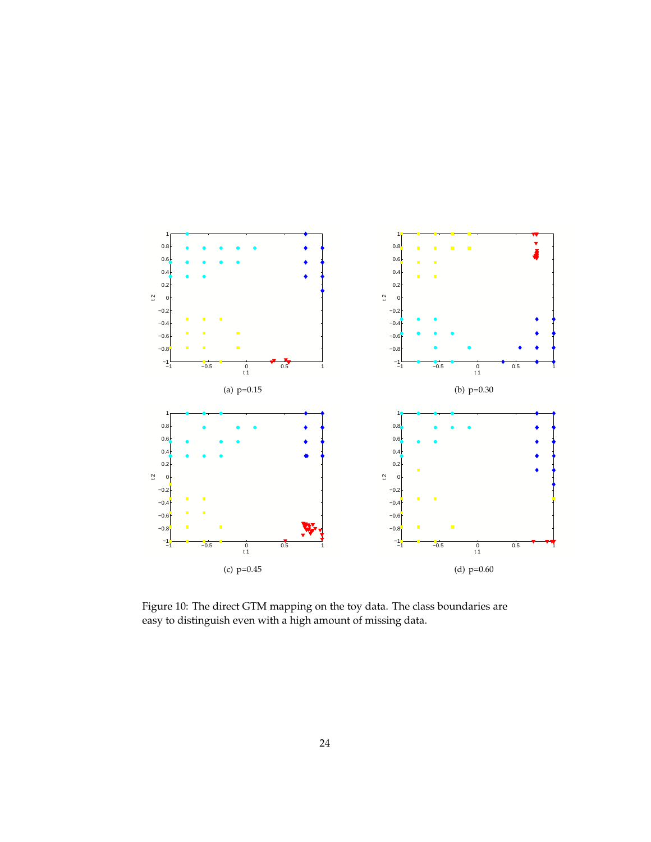

Figure 10: The direct GTM mapping on the toy data. The class boundaries are easy to distinguish even with a high amount of missing data.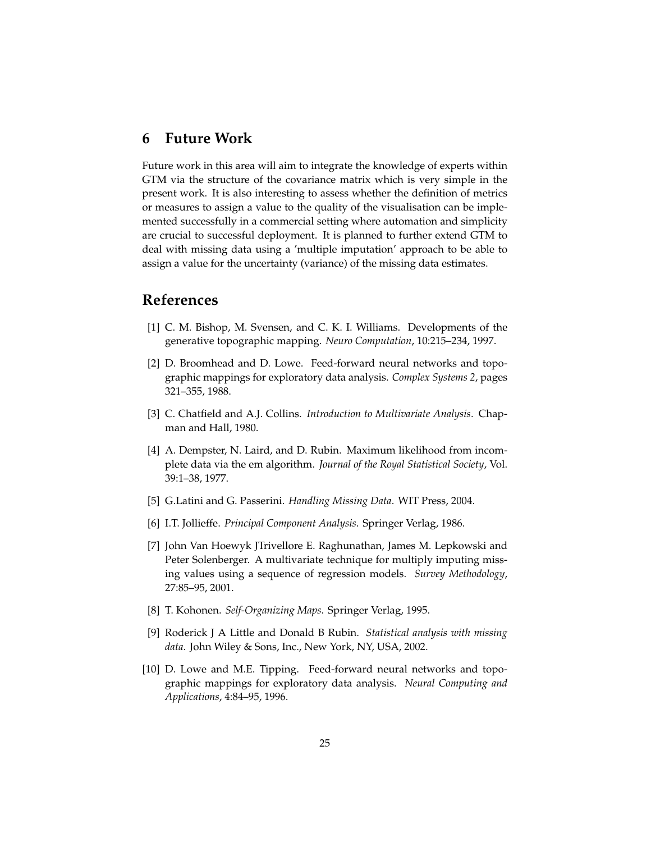## **6 Future Work**

Future work in this area will aim to integrate the knowledge of experts within GTM via the structure of the covariance matrix which is very simple in the present work. It is also interesting to assess whether the definition of metrics or measures to assign a value to the quality of the visualisation can be implemented successfully in a commercial setting where automation and simplicity are crucial to successful deployment. It is planned to further extend GTM to deal with missing data using a 'multiple imputation' approach to be able to assign a value for the uncertainty (variance) of the missing data estimates.

## **References**

- [1] C. M. Bishop, M. Svensen, and C. K. I. Williams. Developments of the generative topographic mapping. *Neuro Computation*, 10:215–234, 1997.
- [2] D. Broomhead and D. Lowe. Feed-forward neural networks and topographic mappings for exploratory data analysis. *Complex Systems 2*, pages 321–355, 1988.
- [3] C. Chatfield and A.J. Collins. *Introduction to Multivariate Analysis*. Chapman and Hall, 1980.
- [4] A. Dempster, N. Laird, and D. Rubin. Maximum likelihood from incomplete data via the em algorithm. *Journal of the Royal Statistical Society*, Vol. 39:1–38, 1977.
- [5] G.Latini and G. Passerini. *Handling Missing Data*. WIT Press, 2004.
- [6] I.T. Jollieffe. *Principal Component Analysis*. Springer Verlag, 1986.
- [7] John Van Hoewyk JTrivellore E. Raghunathan, James M. Lepkowski and Peter Solenberger. A multivariate technique for multiply imputing missing values using a sequence of regression models. *Survey Methodology*, 27:85–95, 2001.
- [8] T. Kohonen. *Self-Organizing Maps*. Springer Verlag, 1995.
- [9] Roderick J A Little and Donald B Rubin. *Statistical analysis with missing data*. John Wiley & Sons, Inc., New York, NY, USA, 2002.
- [10] D. Lowe and M.E. Tipping. Feed-forward neural networks and topographic mappings for exploratory data analysis. *Neural Computing and Applications*, 4:84–95, 1996.